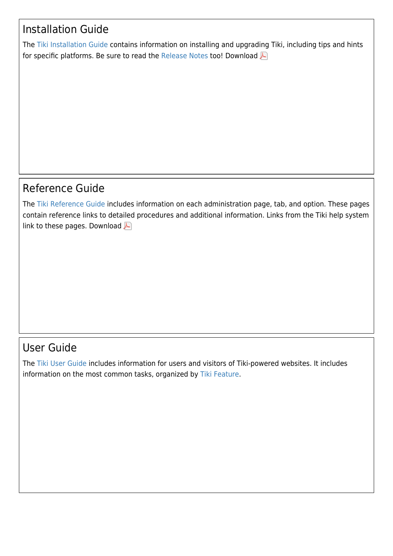# Installation Guide

The [Tiki Installation Guide](https://doc.tiki.org/Tiki-Installation-Guide) contains information on installing and upgrading Tiki, including tips and hints for specific platforms. Be sure to read the [Release Notes](https://doc.tiki.org/Release-Notes) too! Download

# Reference Guide

The [Tiki Reference Guide](https://doc.tiki.org/Tiki-Reference-Guide) includes information on each administration page, tab, and option. These pages contain reference links to detailed procedures and additional information. Links from the Tiki help system linkto these pages. Download

# User Guide

The [Tiki User Guide](https://doc.tiki.org/Tiki-User-Guide) includes information for users and visitors of Tiki-powered websites. It includes information on the most common tasks, organized by [Tiki Feature](https://doc.tiki.org/All-Features).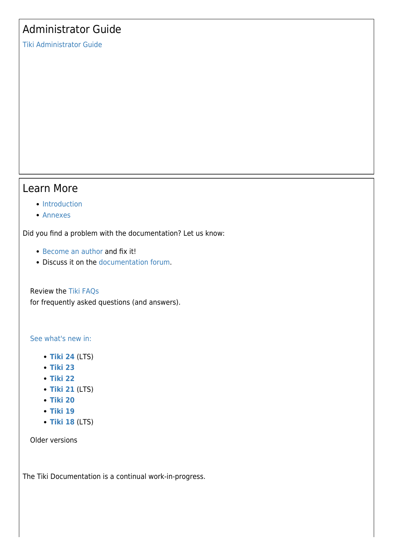# Administrator Guide

[Tiki Administrator Guide](https://doc.tiki.org/Tiki-Administrator-Guide)

### Learn More

#### • [Introduction](https://doc.tiki.org/Introduction)

[Annexes](https://doc.tiki.org/Annexes)

Did you find a problem with the documentation? Let us know:

- [Become an author](https://doc.tiki.org/Welcome-Authors) and fix it!
- Discuss it on the [documentation forum](http://tiki.org/tiki-view_forum.php?forumId=2).

Review the [Tiki FAQs](https://doc.tiki.org/Tiki-FAQs) for frequently asked questions (and answers).

#### [See what's new in:](https://doc.tiki.org/New-in-version)

- **[Tiki 24](https://doc.tiki.org/Tiki24)** (LTS)
- **[Tiki 23](https://doc.tiki.org/Tiki23)**
- **[Tiki 22](https://doc.tiki.org/Tiki22)**
- **[Tiki 21](https://doc.tiki.org/Tiki21)** (LTS)
- **[Tiki 20](https://doc.tiki.org/Tiki20)**
- **[Tiki 19](https://doc.tiki.org/Tiki19)**
- **[Tiki 18](https://doc.tiki.org/Tiki18)** (LTS)

Older versions

The Tiki Documentation is a continual work-in-progress.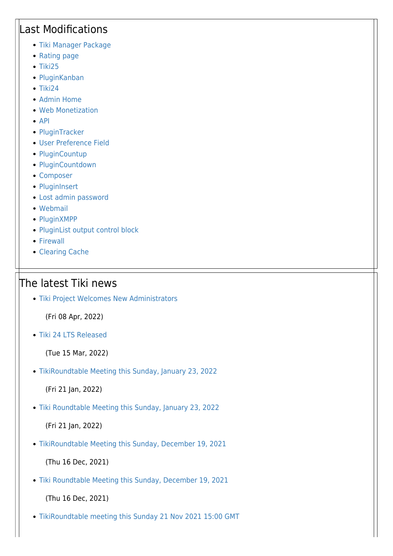# Last Modifications

- [Tiki Manager Package](https://doc.tiki.org/Tiki-Manager-Package)
- [Rating page](https://doc.tiki.org/Calculations)
- $\bullet$  [Tiki25](https://doc.tiki.org/Tiki25)
- [PluginKanban](https://doc.tiki.org/PluginKanban)
- $\bullet$  [Tiki24](https://doc.tiki.org/Tiki24)
- [Admin Home](https://doc.tiki.org/Admin-Home)
- [Web Monetization](https://doc.tiki.org/Web-Monetization)
- $\bullet$  [API](https://doc.tiki.org/API)
- [PluginTracker](https://doc.tiki.org/PluginTracker)
- [User Preference Field](https://doc.tiki.org/User-Preference-Field)
- [PluginCountup](https://doc.tiki.org/PluginCountup)
- [PluginCountdown](https://doc.tiki.org/PluginCountdown)
- [Composer](https://doc.tiki.org/Composer)
- [PluginInsert](https://doc.tiki.org/PluginInsert)
- [Lost admin password](https://doc.tiki.org/Lost-admin-password)
- [Webmail](https://doc.tiki.org/Webmail)
- [PluginXMPP](https://doc.tiki.org/PluginXMPP)
- [PluginList output control block](https://doc.tiki.org/PluginList-output-control-block)
- [Firewall](https://doc.tiki.org/Firewall)
- [Clearing Cache](https://doc.tiki.org/Clearing-Cache)

## The latest Tiki news

[Tiki Project Welcomes New Administrators](https://tiki.org/article489-Tiki-Project-Welcomes-New-Administrators)

(Fri 08 Apr, 2022)

[Tiki 24 LTS Released](https://tiki.org/article488-Tiki-24-LTS-Released)

(Tue 15 Mar, 2022)

[TikiRoundtable Meeting this Sunday, January 23, 2022](https://tiki.org/article487-TikiRoundtable-Meeting-this-Sunday-January-23-2022)

(Fri 21 Jan, 2022)

[Tiki Roundtable Meeting this Sunday, January 23, 2022](https://tiki.org/article487-Tiki-Roundtable-Meeting-this-Sunday-January-23-2022)

(Fri 21 Jan, 2022)

[TikiRoundtable Meeting this Sunday, December 19, 2021](https://tiki.org/article486-TikiRoundtable-Meeting-this-Sunday-December-19-2021)

(Thu 16 Dec, 2021)

[Tiki Roundtable Meeting this Sunday, December 19, 2021](https://tiki.org/article486-Tiki-Roundtable-Meeting-this-Sunday-December-19-2021)

(Thu 16 Dec, 2021)

[TikiRoundtable meeting this Sunday 21 Nov 2021 15:00 GMT](https://tiki.org/article485-TikiRoundtable-meeting-this-Sunday-21-Nov-2021-15-00-GMT)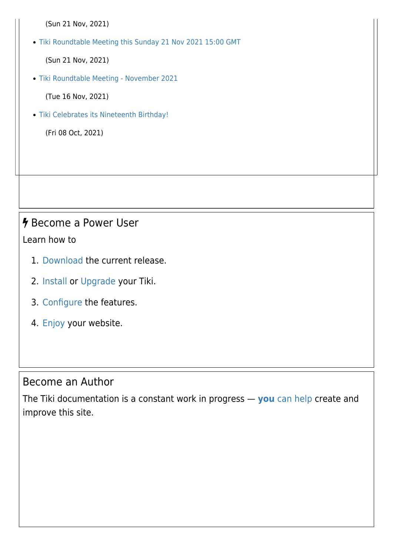(Sun 21 Nov, 2021)

[Tiki Roundtable Meeting this Sunday 21 Nov 2021 15:00 GMT](https://tiki.org/article485-Tiki-Roundtable-Meeting-this-Sunday-21-Nov-2021-15-00-GMT)

(Sun 21 Nov, 2021)

[Tiki Roundtable Meeting - November 2021](https://tiki.org/article484-Tiki-Roundtable-Meeting-November-2021)

(Tue 16 Nov, 2021)

[Tiki Celebrates its Nineteenth Birthday!](https://tiki.org/article483-Tiki-Celebrates-its-Nineteenth-Birthday)

(Fri 08 Oct, 2021)

# *h* Become a Power User

Learn how to

- 1. [Download](https://doc.tiki.org/Download) the current release.
- 2. [Install](https://doc.tiki.org/Tiki-Installation-Guide) or [Upgrade](https://doc.tiki.org/Upgrade) your Tiki.
- 3. [Configure](https://doc.tiki.org/Tiki-Administrator-Guide) the features.
- 4. [Enjoy](https://doc.tiki.org/Tiki-User-Guide) your website.

## Become an Author

The Tiki documentation is a constant work in progress — **[you](https://doc.tiki.org/Welcome-Authors)** [can help](https://doc.tiki.org/Welcome-Authors) create and improve this site.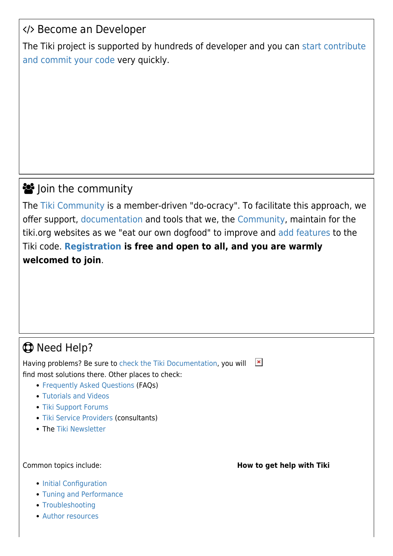# </> Become an Developer

The Tiki project is supported by hundreds of developer and you can [start contribute](https://dev.tiki.org/TikiDevNewbie) [and commit your code](https://dev.tiki.org/TikiDevNewbie) very quickly.

# **S** Join the community

The [Tiki Community](https://doc.tiki.org/Community) is a member-driven ["do-ocracy"](https://doc.tiki.org/tiki-editpage.php?page=Model). To facilitate this approach, we offer support, [documentation](https://doc.tiki.org) and tools that we, the [Community,](https://doc.tiki.org/Community) maintain for the tiki.org websites as we "eat our own dogfood" to improve and [add features](https://doc.tiki.org/Features) to the Tiki code. **[Registration](https://tiki.org/tiki-register.php?key=randomstring) is free and open to all, and you are warmly welcomed to join**.

# **C** Need Help?

Having problems? Be sure to [check the Tiki Documentation](https://doc.tiki.org/All-the-Documentation), you will  $\pmb{\times}$ find most solutions there. Other places to check:

- [Frequently Asked Questions](https://doc.tiki.org/Tiki-FAQs) (FAQs)
- [Tutorials and Videos](https://doc.tiki.org/Tutorials)
- [Tiki Support Forums](http://tiki.org/forums)
- [Tiki Service Providers](http://info.tiki.org/Consultants) (consultants)
- The [Tiki Newsletter](http://tiki.org/Newsletter)

- [Initial Configuration](https://doc.tiki.org/Initial-Configuration)
- [Tuning and Performance](https://doc.tiki.org/Tuning-Tiki)
- [Troubleshooting](https://doc.tiki.org/Troubleshooting)
- [Author resources](https://doc.tiki.org/Welcome-Authors)

Common topics include: **How to get help with Tiki**